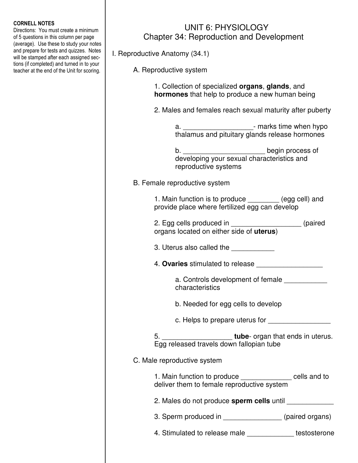## CORNELL NOTES

Directions: You must create a minimum of 5 questions in this column per page (average). Use these to study your notes and prepare for tests and quizzes. Notes will be stamped after each assigned sections (if completed) and turned in to your teacher at the end of the Unit for scoring.

## UNIT 6: PHYSIOLOGY Chapter 34: Reproduction and Development

I. Reproductive Anatomy (34.1)

A. Reproductive system

 1. Collection of specialized **organs**, **glands**, and **hormones** that help to produce a new human being

2. Males and females reach sexual maturity after puberty

a. \_\_\_\_\_\_\_\_\_\_\_\_\_\_\_\_\_\_\_\_\_\_\_\_\_\_- marks time when hypo thalamus and pituitary glands release hormones

b. \_\_\_\_\_\_\_\_\_\_\_\_\_\_\_\_\_\_\_\_\_\_\_\_\_\_\_\_\_\_\_\_begin process of developing your sexual characteristics and reproductive systems

B. Female reproductive system

 1. Main function is to produce \_\_\_\_\_\_\_\_ (egg cell) and provide place where fertilized egg can develop

- 2. Egg cells produced in \_\_\_\_\_\_\_\_\_\_\_\_\_\_\_\_\_\_ (paired organs located on either side of **uterus**)
	- 3. Uterus also called the
	- 4. **Ovaries** stimulated to release \_\_\_\_\_\_\_\_\_\_\_\_\_\_\_\_\_

a. Controls development of female characteristics

b. Needed for egg cells to develop

c. Helps to prepare uterus for \_\_\_\_\_\_\_\_\_\_\_\_\_\_\_\_

 5. \_\_\_\_\_\_\_\_\_\_\_\_\_\_\_\_\_\_ **tube**- organ that ends in uterus. Egg released travels down fallopian tube

## C. Male reproductive system

 1. Main function to produce \_\_\_\_\_\_\_\_\_\_\_\_\_ cells and to deliver them to female reproductive system

- 2. Males do not produce **sperm cells** until \_\_\_\_\_\_\_\_\_\_\_\_
- 3. Sperm produced in  $(paired \text{ organs})$
- 4. Stimulated to release male \_\_\_\_\_\_\_\_\_\_\_\_ testosterone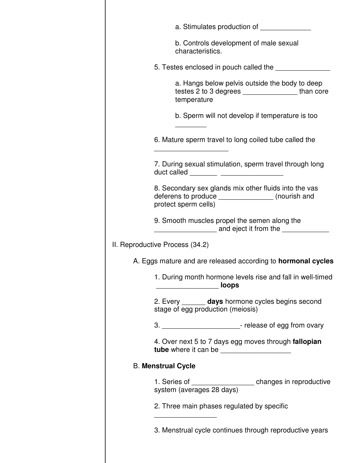|                           | a. Stimulates production of ________________                                                                                         |  |
|---------------------------|--------------------------------------------------------------------------------------------------------------------------------------|--|
|                           | b. Controls development of male sexual<br>characteristics.                                                                           |  |
|                           | 5. Testes enclosed in pouch called the                                                                                               |  |
|                           | a. Hangs below pelvis outside the body to deep<br>testes 2 to 3 degrees _____________________than core<br>temperature                |  |
|                           | b. Sperm will not develop if temperature is too                                                                                      |  |
|                           | 6. Mature sperm travel to long coiled tube called the                                                                                |  |
|                           | 7. During sexual stimulation, sperm travel through long<br>duct called ________ _____________________                                |  |
|                           | 8. Secondary sex glands mix other fluids into the vas<br>deferens to produce __________________ (nourish and<br>protect sperm cells) |  |
|                           | 9. Smooth muscles propel the semen along the<br>_________________________ and eject it from the _______________                      |  |
|                           | II. Reproductive Process (34.2)                                                                                                      |  |
|                           | A. Eggs mature and are released according to <b>hormonal cycles</b>                                                                  |  |
|                           | 1. During month hormone levels rise and fall in well-timed<br>_loops                                                                 |  |
|                           | 2. Every _______ days hormone cycles begins second<br>stage of egg production (meiosis)                                              |  |
|                           | 3. _______________________________- release of egg from ovary                                                                        |  |
|                           | 4. Over next 5 to 7 days egg moves through fallopian                                                                                 |  |
| <b>B. Menstrual Cycle</b> |                                                                                                                                      |  |
|                           | 1. Series of ___________________ changes in reproductive<br>system (averages 28 days)                                                |  |
|                           | 2. Three main phases regulated by specific                                                                                           |  |
|                           | 3. Menstrual cycle continues through reproductive years                                                                              |  |